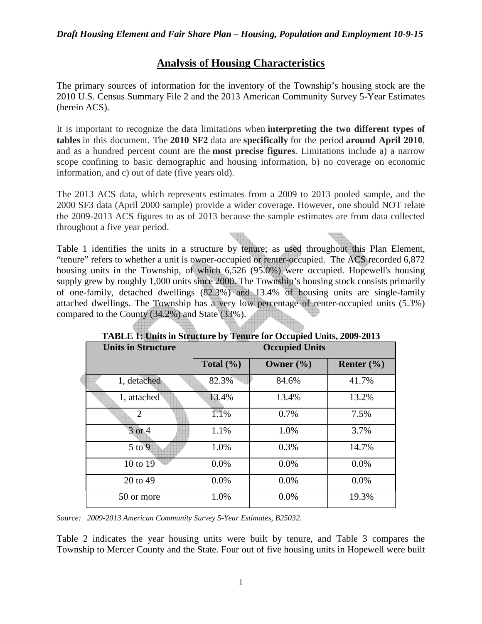# **Analysis of Housing Characteristics**

The primary sources of information for the inventory of the Township's housing stock are the 2010 U.S. Census Summary File 2 and the 2013 American Community Survey 5-Year Estimates (herein ACS).

It is important to recognize the data limitations when **interpreting the two different types of tables** in this document. The **2010 SF2** data are **specifically** for the period **around April 2010**, and as a hundred percent count are the **most precise figures**. Limitations include a) a narrow scope confining to basic demographic and housing information, b) no coverage on economic information, and c) out of date (five years old).

The 2013 ACS data, which represents estimates from a 2009 to 2013 pooled sample, and the 2000 SF3 data (April 2000 sample) provide a wider coverage. However, one should NOT relate the 2009-2013 ACS figures to as of 2013 because the sample estimates are from data collected throughout a five year period.

Table 1 identifies the units in a structure by tenure; as used throughout this Plan Element, "tenure" refers to whether a unit is owner-occupied or renter-occupied. The ACS recorded 6,872 housing units in the Township, of which 6,526 (95.0%) were occupied. Hopewell's housing supply grew by roughly 1,000 units since 2000. The Township's housing stock consists primarily of one-family, detached dwellings (82.3%) and 13.4% of housing units are single-family attached dwellings. The Township has a very low percentage of renter-occupied units (5.3%) compared to the County (34.2%) and State (33%).

| <b>Units in Structure</b> | <b>Occupied Units</b> |               |                |  |  |  |
|---------------------------|-----------------------|---------------|----------------|--|--|--|
|                           | Total $(\% )$         | Owner $(\% )$ | Renter $(\% )$ |  |  |  |
| 1, detached               | 82.3%                 | 84.6%         | 41.7%          |  |  |  |
| 1, attached               | 13.4%                 | 13.4%         | 13.2%          |  |  |  |
| $\mathfrak{2}$            | 1.1%                  | 0.7%          | 7.5%           |  |  |  |
| 3 or 4                    | 1.1%                  | 1.0%          | 3.7%           |  |  |  |
| $5$ to $9$                | 1.0%                  | 0.3%          | 14.7%          |  |  |  |
| 10 to 19                  | $0.0\%$               | $0.0\%$       | 0.0%           |  |  |  |
| 20 to 49                  | $0.0\%$               | $0.0\%$       | 0.0%           |  |  |  |
| 50 or more                | 1.0%                  | $0.0\%$       | 19.3%          |  |  |  |

**TABLE 1: Units in Structure by Tenure for Occupied Units, 2009-2013** 

*Source: 2009-2013 American Community Survey 5-Year Estimates, B25032.* 

Table 2 indicates the year housing units were built by tenure, and Table 3 compares the Township to Mercer County and the State. Four out of five housing units in Hopewell were built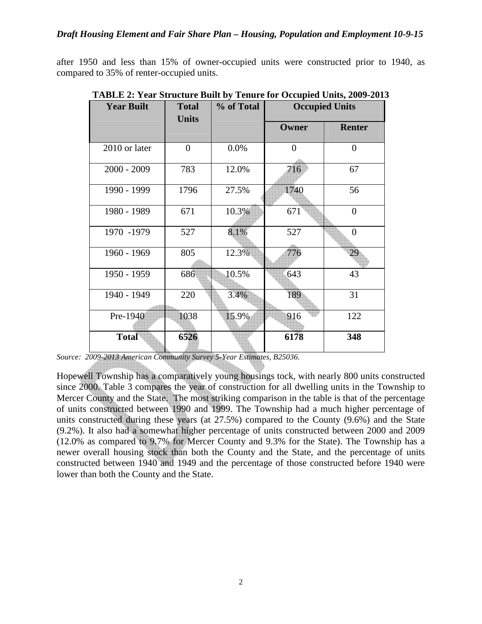after 1950 and less than 15% of owner-occupied units were constructed prior to 1940, as compared to 35% of renter-occupied units.

| <b>Year Built</b> | <b>Total</b><br><b>Units</b> | % of Total | <b>Occupied Units</b> |                |
|-------------------|------------------------------|------------|-----------------------|----------------|
|                   |                              |            | Owner                 | <b>Renter</b>  |
| 2010 or later     | $\overline{0}$               | 0.0%       | $\overline{0}$        | $\overline{0}$ |
| $2000 - 2009$     | 783                          | 12.0%      | 716                   | 67             |
| 1990 - 1999       | 1796                         | 27.5%      | 1740                  | 56             |
| 1980 - 1989       | 671                          | 10.3%      | 671                   | $\theta$       |
| 1970 -1979        | 527                          | 8.1%       | 527                   | $\theta$       |
| 1960 - 1969       | 805                          | 12.3%      | 776                   | 29             |
| 1950 - 1959       | 686                          | 10.5%      | 643                   | 43             |
| 1940 - 1949       | 220                          | 3.4%       | 189                   | 31             |
| Pre-1940          | 1038                         | 15.9%      | 916                   | 122            |
| <b>Total</b>      | 6526                         |            | 6178                  | 348            |

**TABLE 2: Year Structure Built by Tenure for Occupied Units, 2009-2013**

Hopewell Township has a comparatively young housings tock, with nearly 800 units constructed since 2000. Table 3 compares the year of construction for all dwelling units in the Township to Mercer County and the State. The most striking comparison in the table is that of the percentage of units constructed between 1990 and 1999. The Township had a much higher percentage of units constructed during these years (at 27.5%) compared to the County (9.6%) and the State (9.2%). It also had a somewhat higher percentage of units constructed between 2000 and 2009 (12.0% as compared to 9.7% for Mercer County and 9.3% for the State). The Township has a newer overall housing stock than both the County and the State, and the percentage of units constructed between 1940 and 1949 and the percentage of those constructed before 1940 were lower than both the County and the State.

*Source: 2009-2013 American Community Survey 5-Year Estimates, B25036.*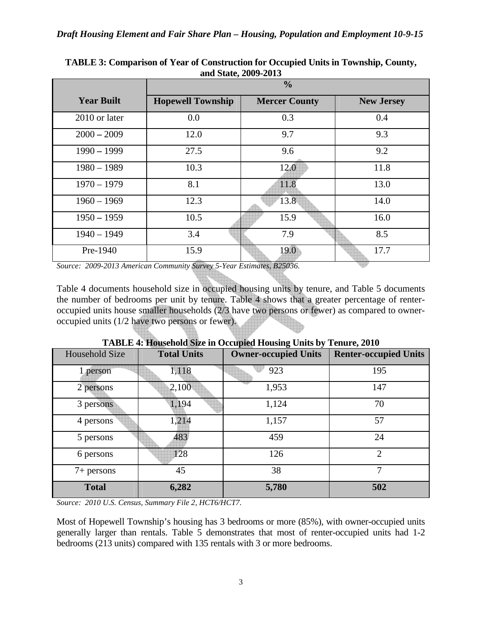|                   | $\frac{0}{0}$            |                      |                   |  |  |  |
|-------------------|--------------------------|----------------------|-------------------|--|--|--|
| <b>Year Built</b> | <b>Hopewell Township</b> | <b>Mercer County</b> | <b>New Jersey</b> |  |  |  |
| 2010 or later     | 0.0                      | 0.3                  | 0.4               |  |  |  |
| $2000 - 2009$     | 12.0                     | 9.7                  | 9.3               |  |  |  |
| $1990 - 1999$     | 27.5                     | 9.6                  | 9.2               |  |  |  |
| $1980 - 1989$     | 10.3                     | 12.0                 | 11.8              |  |  |  |
| $1970 - 1979$     | 8.1                      | 11.8                 | 13.0              |  |  |  |
| $1960 - 1969$     | 12.3                     | 13.8                 | 14.0              |  |  |  |
| $1950 - 1959$     | 10.5                     | 15.9                 | 16.0              |  |  |  |
| $1940 - 1949$     | 3.4                      | 7.9                  | 8.5               |  |  |  |
| Pre-1940          | 15.9                     | 19.0                 | 17.7              |  |  |  |

**TABLE 3: Comparison of Year of Construction for Occupied Units in Township, County, and State, 2009-2013**

*Source: 2009-2013 American Community Survey 5-Year Estimates, B25036.* 

Table 4 documents household size in occupied housing units by tenure, and Table 5 documents the number of bedrooms per unit by tenure. Table 4 shows that a greater percentage of renteroccupied units house smaller households (2/3 have two persons or fewer) as compared to owneroccupied units (1/2 have two persons or fewer).

|                |                    | Trible +. Housthold blick in Occupica Housing Omto by Tenure, 2010 |                              |
|----------------|--------------------|--------------------------------------------------------------------|------------------------------|
| Household Size | <b>Total Units</b> | <b>Owner-occupied Units</b>                                        | <b>Renter-occupied Units</b> |
| 1 person       | 1,118              | 923                                                                | 195                          |
| 2 persons      | 2,100              | 1,953                                                              | 147                          |
| 3 persons      | 1,194              | 1,124                                                              | 70                           |
| 4 persons      | 1,214              | 1,157                                                              | 57                           |
| 5 persons      | 483                | 459                                                                | 24                           |
| 6 persons      | 128                | 126                                                                | $\overline{2}$               |
| $7+$ persons   | 45                 | 38                                                                 | 7                            |
| <b>Total</b>   | 6,282              | 5,780                                                              | 502                          |

**TABLE 4: Household Size in Occupied Housing Units by Tenure, 2010**

*Source: 2010 U.S. Census, Summary File 2, HCT6/HCT7.*

Most of Hopewell Township's housing has 3 bedrooms or more (85%), with owner-occupied units generally larger than rentals. Table 5 demonstrates that most of renter-occupied units had 1-2 bedrooms (213 units) compared with 135 rentals with 3 or more bedrooms.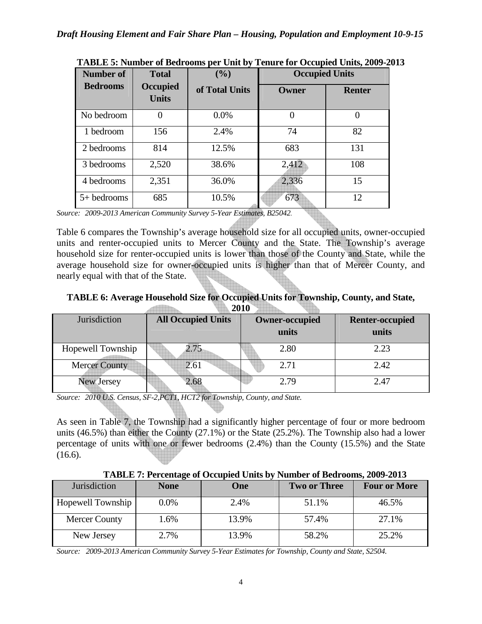| <b>Number of</b> | <b>Total</b>             | (9/0)          | <b>Occupied Units</b> |               |
|------------------|--------------------------|----------------|-----------------------|---------------|
| <b>Bedrooms</b>  | Occupied<br><b>Units</b> | of Total Units | Owner                 | <b>Renter</b> |
| No bedroom       |                          | $0.0\%$        | 0                     |               |
| 1 bedroom        | 156                      | 2.4%           | 74                    | 82            |
| 2 bedrooms       | 814                      | 12.5%          | 683                   | 131           |
| 3 bedrooms       | 2,520                    | 38.6%          | 2,412                 | 108           |
| 4 bedrooms       | 2,351                    | 36.0%          | 2,336                 | 15            |
| $5+$ bedrooms    | 685                      | 10.5%          | 673                   | 12            |

**TABLE 5: Number of Bedrooms per Unit by Tenure for Occupied Units, 2009-2013** 

*Source: 2009-2013 American Community Survey 5-Year Estimates, B25042.* 

Table 6 compares the Township's average household size for all occupied units, owner-occupied units and renter-occupied units to Mercer County and the State. The Township's average household size for renter-occupied units is lower than those of the County and State, while the average household size for owner-occupied units is higher than that of Mercer County, and nearly equal with that of the State.

#### **TABLE 6: Average Household Size for Occupied Units for Township, County, and State, Contract of the Second State 2010**

| $\rightarrow \rightarrow \rightarrow$ |                           |                       |                        |  |  |  |
|---------------------------------------|---------------------------|-----------------------|------------------------|--|--|--|
| Jurisdiction                          | <b>All Occupied Units</b> | <b>Owner-occupied</b> | <b>Renter-occupied</b> |  |  |  |
|                                       |                           | units                 | units                  |  |  |  |
| Hopewell Township                     | 2.75                      | 2.80                  | 2.23                   |  |  |  |
| <b>Mercer County</b>                  | 2.61                      | 2.71                  | 2.42                   |  |  |  |
| <b>New Jersey</b>                     | 2.68                      | 2.79                  | 2.47                   |  |  |  |

*Source: 2010 U.S. Census, SF-2,PCT1, HCT2 for Township, County, and State.* 

As seen in Table 7, the Township had a significantly higher percentage of four or more bedroom units (46.5%) than either the County (27.1%) or the State (25.2%). The Township also had a lower percentage of units with one or fewer bedrooms (2.4%) than the County (15.5%) and the State  $(16.6)$ .

**TABLE 7: Percentage of Occupied Units by Number of Bedrooms, 2009-2013**

| Jurisdiction      | <b>None</b> | One)  | <b>Two or Three</b> | <b>Four or More</b> |
|-------------------|-------------|-------|---------------------|---------------------|
| Hopewell Township | 0.0%        | 2.4%  | 51.1%               | 46.5%               |
| Mercer County     | 1.6%        | 13.9% | 57.4%               | 27.1%               |
| New Jersey        | 2.7%        | 13.9% | 58.2%               | 25.2%               |

*Source: 2009-2013 American Community Survey 5-Year Estimates for Township, County and State, S2504.*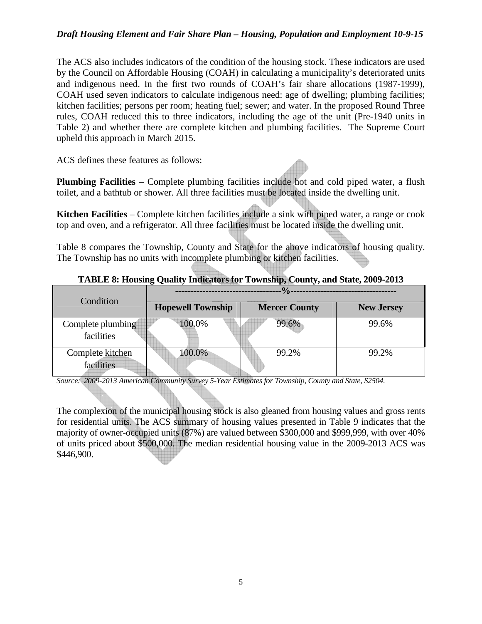## *Draft Housing Element and Fair Share Plan – Housing, Population and Employment 10-9-15*

The ACS also includes indicators of the condition of the housing stock. These indicators are used by the Council on Affordable Housing (COAH) in calculating a municipality's deteriorated units and indigenous need. In the first two rounds of COAH's fair share allocations (1987-1999), COAH used seven indicators to calculate indigenous need: age of dwelling; plumbing facilities; kitchen facilities; persons per room; heating fuel; sewer; and water. In the proposed Round Three rules, COAH reduced this to three indicators, including the age of the unit (Pre-1940 units in Table 2) and whether there are complete kitchen and plumbing facilities. The Supreme Court upheld this approach in March 2015.

ACS defines these features as follows:

**Plumbing Facilities** – Complete plumbing facilities include hot and cold piped water, a flush toilet, and a bathtub or shower. All three facilities must be located inside the dwelling unit.

**Kitchen Facilities** – Complete kitchen facilities include a sink with piped water, a range or cook top and oven, and a refrigerator. All three facilities must be located inside the dwelling unit.

Table 8 compares the Township, County and State for the above indicators of housing quality. The Township has no units with incomplete plumbing or kitchen facilities.

| Condition                       | $\frac{0}{\alpha}$       |                      |                   |  |  |
|---------------------------------|--------------------------|----------------------|-------------------|--|--|
|                                 | <b>Hopewell Township</b> | <b>Mercer County</b> | <b>New Jersey</b> |  |  |
| Complete plumbing<br>facilities | 100.0%                   | 99.6%                | 99.6%             |  |  |
| Complete kitchen<br>facilities  | 100.0%                   | 99.2%                | 99.2%             |  |  |

## **TABLE 8: Housing Quality Indicators for Township, County, and State, 2009-2013**

*Source: 2009-2013 American Community Survey 5-Year Estimates for Township, County and State, S2504.*

The complexion of the municipal housing stock is also gleaned from housing values and gross rents for residential units. The ACS summary of housing values presented in Table 9 indicates that the majority of owner-occupied units (87%) are valued between \$300,000 and \$999,999, with over 40% of units priced about \$500,000. The median residential housing value in the 2009-2013 ACS was \$446,900.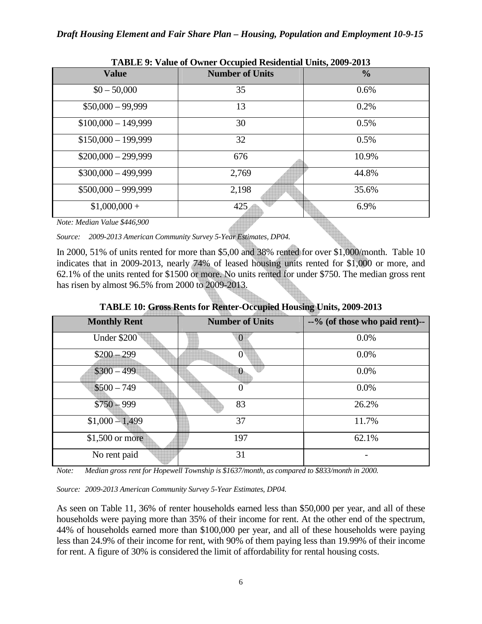| TADLE 7. Value of Owner Occupied Residential Omis, 2007-2013 |                        |               |  |  |  |
|--------------------------------------------------------------|------------------------|---------------|--|--|--|
| <b>Value</b>                                                 | <b>Number of Units</b> | $\frac{0}{0}$ |  |  |  |
| $$0 - 50,000$                                                | 35                     | 0.6%          |  |  |  |
| $$50,000 - 99,999$                                           | 13                     | 0.2%          |  |  |  |
| $$100,000 - 149,999$                                         | 30                     | 0.5%          |  |  |  |
| $$150,000 - 199,999$                                         | 32                     | 0.5%          |  |  |  |
| $$200,000 - 299,999$                                         | 676                    | 10.9%         |  |  |  |
| $$300,000 - 499,999$                                         | 2,769                  | 44.8%         |  |  |  |
| $$500,000 - 999,999$                                         | 2,198                  | 35.6%         |  |  |  |
| $$1,000,000+$                                                | 425                    | 6.9%          |  |  |  |

**TABLE 9: Value of Owner Occupied Residential Units, 2009-2013** 

*Note: Median Value \$446,900* 

*Source: 2009-2013 American Community Survey 5-Year Estimates, DP04.* 

In 2000, 51% of units rented for more than \$5,00 and 38% rented for over \$1,000/month. Table 10 indicates that in 2009-2013, nearly 74% of leased housing units rented for \$1,000 or more, and 62.1% of the units rented for \$1500 or more. No units rented for under \$750. The median gross rent has risen by almost 96.5% from 2000 to 2009-2013.

| <b>Monthly Rent</b> | <b>Number of Units</b> | --% (of those who paid rent)-- |
|---------------------|------------------------|--------------------------------|
| Under \$200         |                        | 0.0%                           |
| $$200 - 299$        |                        | 0.0%                           |
| $$300 - 499$        |                        | 0.0%                           |
| $$500 - 749$        |                        | 0.0%                           |
| $$750 - 999$        | 83                     | 26.2%                          |
| $$1,000 - 1,499$    | 37                     | 11.7%                          |
| \$1,500 or more     | 197                    | 62.1%                          |
| No rent paid        | 31                     |                                |

**TABLE 10: Gross Rents for Renter-Occupied Housing Units, 2009-2013**

*Note: Median gross rent for Hopewell Township is \$1637/month, as compared to \$833/month in 2000.*

*Source: 2009-2013 American Community Survey 5-Year Estimates, DP04.* 

As seen on Table 11, 36% of renter households earned less than \$50,000 per year, and all of these households were paying more than 35% of their income for rent. At the other end of the spectrum, 44% of households earned more than \$100,000 per year, and all of these households were paying less than 24.9% of their income for rent, with 90% of them paying less than 19.99% of their income for rent. A figure of 30% is considered the limit of affordability for rental housing costs.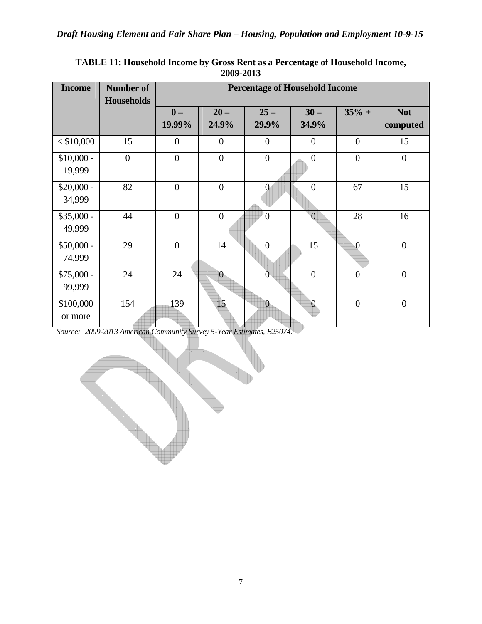| <b>Income</b> | <b>Number of</b><br><b>Households</b> | <b>Percentage of Household Income</b> |                 |                  |                  |                |                        |
|---------------|---------------------------------------|---------------------------------------|-----------------|------------------|------------------|----------------|------------------------|
|               |                                       | $\mathbf{0}$ –<br>19.99%              | $20 -$<br>24.9% | $25 -$<br>29.9%  | $30 -$<br>34.9%  | $35% +$        | <b>Not</b><br>computed |
|               |                                       |                                       |                 |                  |                  |                |                        |
| $<$ \$10,000  | 15                                    | $\overline{0}$                        | $\overline{0}$  | $\overline{0}$   | $\overline{0}$   | $\overline{0}$ | 15                     |
| $$10,000 -$   | $\overline{0}$                        | $\boldsymbol{0}$                      | $\overline{0}$  | $\boldsymbol{0}$ | $\boldsymbol{0}$ | $\overline{0}$ | $\boldsymbol{0}$       |
| 19,999        |                                       |                                       |                 |                  |                  |                |                        |
| $$20,000 -$   | 82                                    | $\overline{0}$                        | $\overline{0}$  | $\mathbf{0}$     | $\overline{0}$   | 67             | 15                     |
| 34,999        |                                       |                                       |                 |                  |                  |                |                        |
| $$35,000 -$   | 44                                    | $\overline{0}$                        | $\overline{0}$  | $\overline{0}$   | $\theta$         | 28             | 16                     |
| 49,999        |                                       |                                       |                 |                  |                  |                |                        |
| $$50,000 -$   | 29                                    | $\overline{0}$                        | 14              | $\overline{0}$   | 15               | $\overline{0}$ | $\overline{0}$         |
| 74,999        |                                       |                                       |                 |                  |                  |                |                        |
| $$75,000 -$   | 24                                    | 24                                    | $\overline{0}$  | $\overline{0}$   | $\overline{0}$   | $\overline{0}$ | $\overline{0}$         |
| 99,999        |                                       |                                       |                 |                  |                  |                |                        |
| \$100,000     | 154                                   | 139                                   | 15              | $\overline{0}$   | $\overline{0}$   | $\overline{0}$ | $\overline{0}$         |
| or more       |                                       |                                       |                 |                  |                  |                |                        |

**TABLE 11: Household Income by Gross Rent as a Percentage of Household Income, 2009-2013** 

*Source: 2009-2013 American Community Survey 5-Year Estimates, B25074.* 

7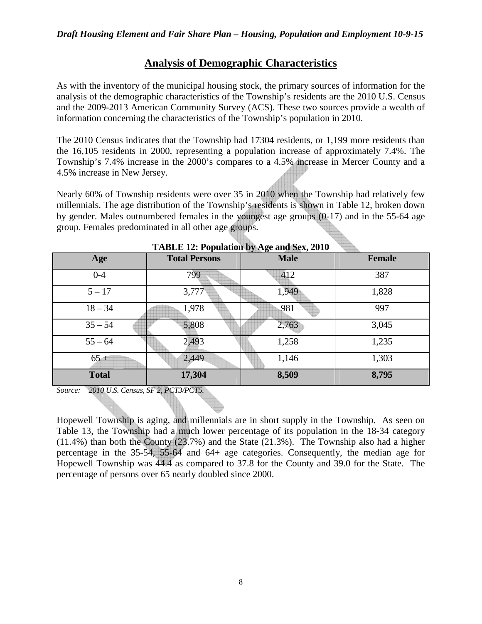# **Analysis of Demographic Characteristics**

As with the inventory of the municipal housing stock, the primary sources of information for the analysis of the demographic characteristics of the Township's residents are the 2010 U.S. Census and the 2009-2013 American Community Survey (ACS). These two sources provide a wealth of information concerning the characteristics of the Township's population in 2010.

The 2010 Census indicates that the Township had 17304 residents, or 1,199 more residents than the 16,105 residents in 2000, representing a population increase of approximately 7.4%. The Township's 7.4% increase in the 2000's compares to a 4.5% increase in Mercer County and a 4.5% increase in New Jersey.

Nearly 60% of Township residents were over 35 in 2010 when the Township had relatively few millennials. The age distribution of the Township's residents is shown in Table 12, broken down by gender. Males outnumbered females in the youngest age groups (0-17) and in the 55-64 age group. Females predominated in all other age groups.

| TADLE 12: Population by Age and Sex, 2010 |                      |             |               |  |  |
|-------------------------------------------|----------------------|-------------|---------------|--|--|
| Age                                       | <b>Total Persons</b> | <b>Male</b> | <b>Female</b> |  |  |
| $0 - 4$                                   | 799                  | 412         | 387           |  |  |
| $5 - 17$                                  | 3,777                | 1,949       | 1,828         |  |  |
| $18 - 34$                                 | 1,978                | 981         | 997           |  |  |
| $35 - 54$                                 | 5,808                | 2,763       | 3,045         |  |  |
| $55 - 64$                                 | 2,493                | 1,258       | 1,235         |  |  |
| $65 +$                                    | 2,449                | 1,146       | 1,303         |  |  |
| <b>Total</b>                              | 17,304               | 8,509       | 8,795         |  |  |

**TABLE 12: Population by Age and Sex, 2010** 

*Source: 2010 U.S. Census, SF 2, PCT3/PCT5.* 

Hopewell Township is aging, and millennials are in short supply in the Township. As seen on Table 13, the Township had a much lower percentage of its population in the 18-34 category (11.4%) than both the County (23.7%) and the State (21.3%). The Township also had a higher percentage in the 35-54, 55-64 and 64+ age categories. Consequently, the median age for Hopewell Township was 44.4 as compared to 37.8 for the County and 39.0 for the State. The percentage of persons over 65 nearly doubled since 2000.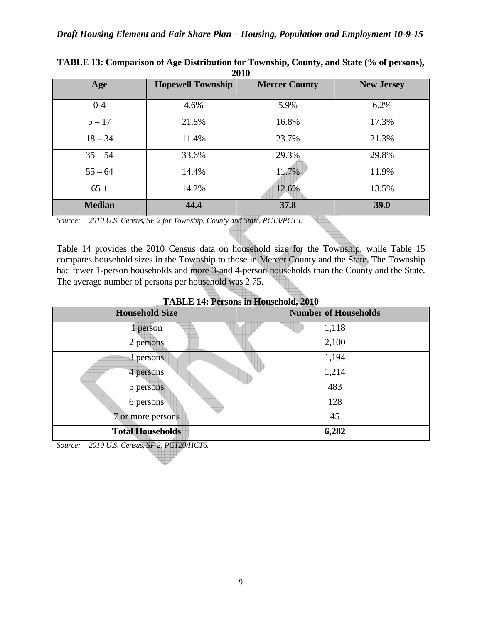| 2010          |                          |                      |                   |  |  |
|---------------|--------------------------|----------------------|-------------------|--|--|
| Age           | <b>Hopewell Township</b> | <b>Mercer County</b> | <b>New Jersey</b> |  |  |
|               |                          |                      |                   |  |  |
| $0 - 4$       | 4.6%                     | 5.9%                 | 6.2%              |  |  |
| $5 - 17$      | 21.8%                    | 16.8%                | 17.3%             |  |  |
| $18 - 34$     | 11.4%                    | 23.7%                | 21.3%             |  |  |
| $35 - 54$     | 33.6%                    | 29.3%                | 29.8%             |  |  |
| $55 - 64$     | 14.4%                    | 11.7%                | 11.9%             |  |  |
| $65+$         | 14.2%                    | 12.6%                | 13.5%             |  |  |
| <b>Median</b> | 44.4                     | 37.8                 | 39.0              |  |  |

**TABLE 13: Comparison of Age Distribution for Township, County, and State (% of persons), 2010** 

*Source: 2010 U.S. Census, SF 2 for Township, County and State, PCT3/PCT5.* 

Table 14 provides the 2010 Census data on household size for the Township, while Table 15 compares household sizes in the Township to those in Mercer County and the State. The Township had fewer 1-person households and more 3-and 4-person households than the County and the State. The average number of persons per household was 2.75.

| <b>Household Size</b>   | <b>Number of Households</b> |
|-------------------------|-----------------------------|
| person                  | 1,118                       |
| 2 persons               | 2,100                       |
| 3 persons               | 1,194                       |
| 4 persons               | 1,214                       |
| 5 persons               | 483                         |
| 6 persons               | 128                         |
| 7 or more persons       | 45                          |
| <b>Total Households</b> | 6,282                       |

**TABLE 14: Persons in Household, 2010**

*Source: 2010 U.S. Census, SF 2, PCT20/HCT6.*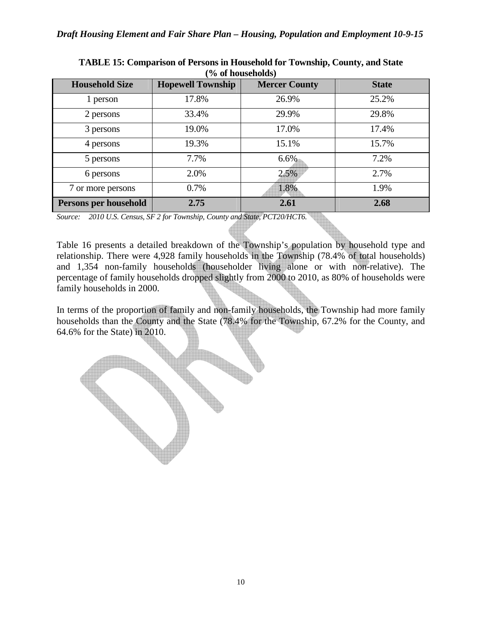| <b>Household Size</b> | <b>Hopewell Township</b> | <b>Mercer County</b> | <b>State</b> |
|-----------------------|--------------------------|----------------------|--------------|
| 1 person              | 17.8%                    | 26.9%                | 25.2%        |
| 2 persons             | 33.4%                    | 29.9%                | 29.8%        |
| 3 persons             | 19.0%                    | 17.0%                | 17.4%        |
| 4 persons             | 19.3%                    | 15.1%                | 15.7%        |
| 5 persons             | 7.7%                     | $6.6\%$              | 7.2%         |
| 6 persons             | 2.0%                     | 2.5%                 | 2.7%         |
| 7 or more persons     | 0.7%                     | 1.8%                 | 1.9%         |
| Persons per household | 2.75                     | 2.61                 | 2.68         |

| <b>TABLE 15: Comparison of Persons in Household for Township, County, and State</b> |
|-------------------------------------------------------------------------------------|
| $\frac{6}{6}$ of households)                                                        |

*Source: 2010 U.S. Census, SF 2 for Township, County and State, PCT20/HCT6.*

Table 16 presents a detailed breakdown of the Township's population by household type and relationship. There were 4,928 family households in the Township (78.4% of total households) and 1,354 non-family households (householder living alone or with non-relative). The percentage of family households dropped slightly from 2000 to 2010, as 80% of households were family households in 2000.

In terms of the proportion of family and non-family households, the Township had more family households than the County and the State (78.4% for the Township, 67.2% for the County, and 64.6% for the State) in 2010.

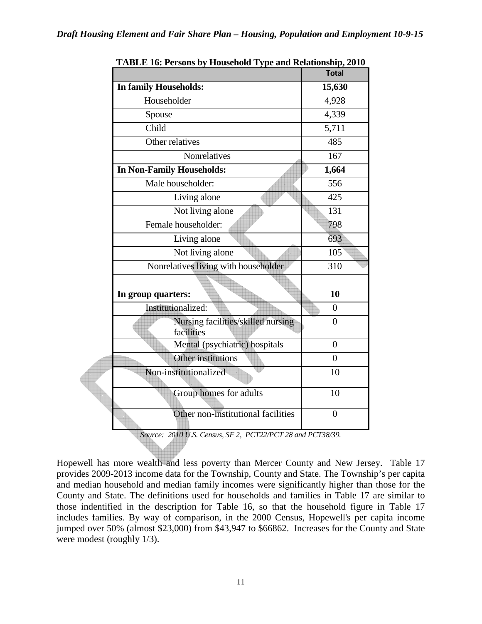|                                                  | <b>Total</b>       |
|--------------------------------------------------|--------------------|
| In family Households:                            | 15,630             |
| Householder                                      | 4,928              |
| Spouse                                           | 4,339              |
| Child                                            | $\overline{5,711}$ |
| Other relatives                                  | 485                |
| <b>Nonrelatives</b>                              | 167                |
| In Non-Family Households:                        | 1,664              |
| Male householder:                                | 556                |
| Living alone                                     | 425                |
| Not living alone                                 | 131                |
| Female householder:                              | 798                |
| Living alone                                     | 693                |
| Not living alone                                 | 105                |
| Nonrelatives living with householder             | 310                |
|                                                  |                    |
| In group quarters:                               | 10                 |
| Institutionalized:                               | $\overline{0}$     |
| Nursing facilities/skilled nursing<br>facilities | $\overline{0}$     |
| Mental (psychiatric) hospitals                   | $\overline{0}$     |
| Other institutions                               | $\overline{0}$     |
| Non-institutionalized                            | 10                 |
| Group homes for adults                           | 10                 |
| Other non-institutional facilities               | $\overline{0}$     |

**TABLE 16: Persons by Household Type and Relationship, 2010** 

*Source: 2010 U.S. Census, SF 2, PCT22/PCT 28 and PCT38/39.* 

Hopewell has more wealth and less poverty than Mercer County and New Jersey. Table 17 provides 2009-2013 income data for the Township, County and State. The Township's per capita and median household and median family incomes were significantly higher than those for the County and State. The definitions used for households and families in Table 17 are similar to those indentified in the description for Table 16, so that the household figure in Table 17 includes families. By way of comparison, in the 2000 Census, Hopewell's per capita income jumped over 50% (almost \$23,000) from \$43,947 to \$66862. Increases for the County and State were modest (roughly 1/3).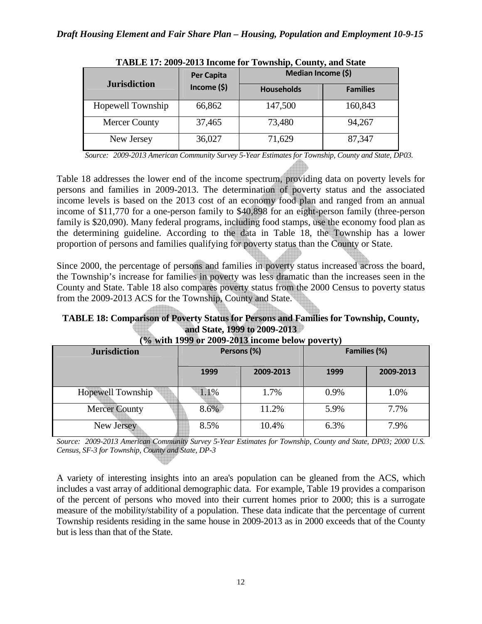|                      | <b>Per Capita</b> | Median Income (\$) |                 |  |
|----------------------|-------------------|--------------------|-----------------|--|
| <b>Jurisdiction</b>  | Income $(5)$      | <b>Households</b>  | <b>Families</b> |  |
| Hopewell Township    | 66,862            | 147,500            | 160,843         |  |
| <b>Mercer County</b> | 37,465            | 73,480             | 94,267          |  |
| New Jersey           | 36,027            | 71,629             | 87,347          |  |

|  |  | TABLE 17: 2009-2013 Income for Township, County, and State |  |  |  |
|--|--|------------------------------------------------------------|--|--|--|
|--|--|------------------------------------------------------------|--|--|--|

*Source: 2009-2013 American Community Survey 5-Year Estimates for Township, County and State, DP03.* 

Table 18 addresses the lower end of the income spectrum, providing data on poverty levels for persons and families in 2009-2013. The determination of poverty status and the associated income levels is based on the 2013 cost of an economy food plan and ranged from an annual income of \$11,770 for a one-person family to \$40,898 for an eight-person family (three-person family is \$20,090). Many federal programs, including food stamps, use the economy food plan as the determining guideline. According to the data in Table 18, the Township has a lower proportion of persons and families qualifying for poverty status than the County or State.

Since 2000, the percentage of persons and families in poverty status increased across the board, the Township's increase for families in poverty was less dramatic than the increases seen in the County and State. Table 18 also compares poverty status from the 2000 Census to poverty status from the 2009-2013 ACS for the Township, County and State.

# **TABLE 18: Comparison of Poverty Status for Persons and Families for Township, County, and State, 1999 to 2009-2013**

| <b>Jurisdiction</b>  | Persons (%) |           | Families (%) |           |
|----------------------|-------------|-----------|--------------|-----------|
|                      | 1999        | 2009-2013 | 1999         | 2009-2013 |
| Hopewell Township    | 1.1%        | 1.7%      | 0.9%         | 1.0%      |
| <b>Mercer County</b> | 8.6%        | 11.2%     | 5.9%         | 7.7%      |
| New Jersey           | 8.5%        | 10.4%     | 6.3%         | 7.9%      |

## **(% with 1999 or 2009-2013 income below poverty)**

*Source: 2009-2013 American Community Survey 5-Year Estimates for Township, County and State, DP03; 2000 U.S. Census, SF-3 for Township, County and State, DP-3* 

A variety of interesting insights into an area's population can be gleaned from the ACS, which includes a vast array of additional demographic data. For example, Table 19 provides a comparison of the percent of persons who moved into their current homes prior to 2000; this is a surrogate measure of the mobility/stability of a population. These data indicate that the percentage of current Township residents residing in the same house in 2009-2013 as in 2000 exceeds that of the County but is less than that of the State.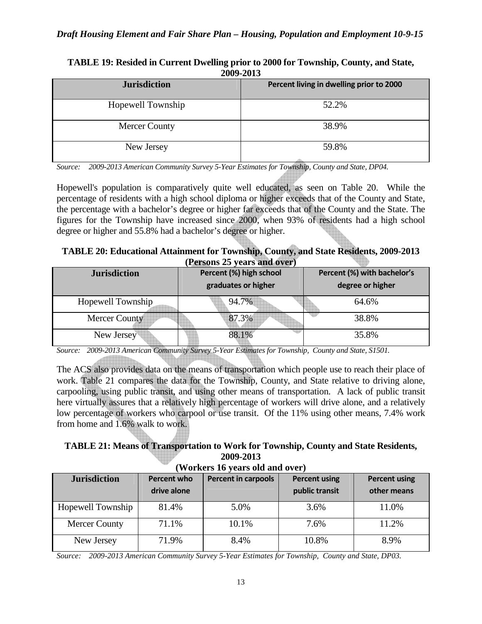| 2009-2013            |                                          |  |  |
|----------------------|------------------------------------------|--|--|
| <b>Jurisdiction</b>  | Percent living in dwelling prior to 2000 |  |  |
| Hopewell Township    | 52.2%                                    |  |  |
| <b>Mercer County</b> | 38.9%                                    |  |  |
| New Jersey           | 59.8%                                    |  |  |

#### **TABLE 19: Resided in Current Dwelling prior to 2000 for Township, County, and State,**  2000-2012

*Source: 2009-2013 American Community Survey 5-Year Estimates for Township, County and State, DP04.* 

Hopewell's population is comparatively quite well educated, as seen on Table 20. While the percentage of residents with a high school diploma or higher exceeds that of the County and State, the percentage with a bachelor's degree or higher far exceeds that of the County and the State. The figures for the Township have increased since 2000, when 93% of residents had a high school degree or higher and 55.8% had a bachelor's degree or higher.

**TABLE 20: Educational Attainment for Township, County, and State Residents, 2009-2013 (Persons 25 years and over)** 

| <b>Jurisdiction</b> | Percent (%) high school<br>graduates or higher | Percent (%) with bachelor's<br>degree or higher |  |
|---------------------|------------------------------------------------|-------------------------------------------------|--|
| Hopewell Township   | 94.7%                                          | 64.6%                                           |  |
| Mercer County       | 87.3%                                          | 38.8%                                           |  |
| New Jersey          | 88.1%                                          | 35.8%                                           |  |

*Source: 2009-2013 American Community Survey 5-Year Estimates for Township, County and State, S1501.*

The ACS also provides data on the means of transportation which people use to reach their place of work. Table 21 compares the data for the Township, County, and State relative to driving alone, carpooling, using public transit, and using other means of transportation. A lack of public transit here virtually assures that a relatively high percentage of workers will drive alone, and a relatively low percentage of workers who carpool or use transit. Of the 11% using other means, 7.4% work from home and 1.6% walk to work.

## **TABLE 21: Means of Transportation to Work for Township, County and State Residents, 2009-2013**

| <b>Jurisdiction</b>  | Percent who<br>drive alone | <b>Percent in carpools</b> | <b>Percent using</b><br>public transit | <b>Percent using</b><br>other means |
|----------------------|----------------------------|----------------------------|----------------------------------------|-------------------------------------|
| Hopewell Township    | 81.4%                      | 5.0%                       | 3.6%                                   | 11.0%                               |
| <b>Mercer County</b> | 71.1%                      | 10.1%                      | 7.6%                                   | 11.2%                               |
| New Jersey           | 71.9%                      | 8.4%                       | 10.8%                                  | 8.9%                                |

**(Workers 16 years old and over)** 

*Source: 2009-2013 American Community Survey 5-Year Estimates for Township, County and State, DP03.*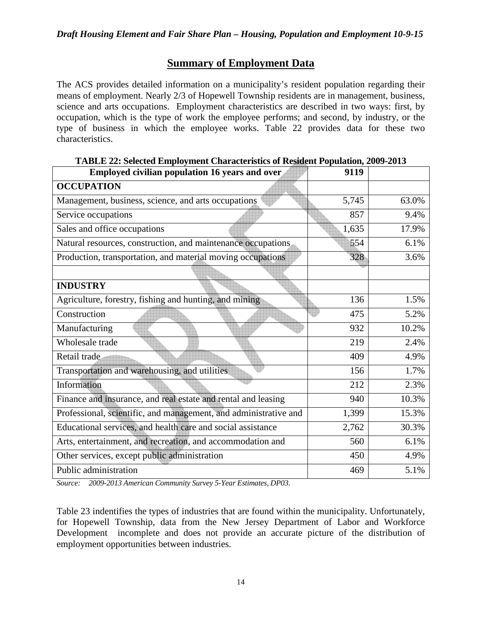## **Summary of Employment Data**

The ACS provides detailed information on a municipality's resident population regarding their means of employment. Nearly 2/3 of Hopewell Township residents are in management, business, science and arts occupations. Employment characteristics are described in two ways: first, by occupation, which is the type of work the employee performs; and second, by industry, or the type of business in which the employee works. Table 22 provides data for these two characteristics.

| Employed civilian population 16 years and over                   | 9119  |       |
|------------------------------------------------------------------|-------|-------|
| <b>OCCUPATION</b>                                                |       |       |
| Management, business, science, and arts occupations              | 5,745 | 63.0% |
| Service occupations                                              | 857   | 9.4%  |
| Sales and office occupations                                     | 1,635 | 17.9% |
| Natural resources, construction, and maintenance occupations     | 554   | 6.1%  |
| Production, transportation, and material moving occupations      | 328   | 3.6%  |
|                                                                  |       |       |
| <b>INDUSTRY</b>                                                  |       |       |
| Agriculture, forestry, fishing and hunting, and mining           | 136   | 1.5%  |
| Construction                                                     | 475   | 5.2%  |
| Manufacturing                                                    | 932   | 10.2% |
| Wholesale trade                                                  | 219   | 2.4%  |
| Retail trade                                                     | 409   | 4.9%  |
| Transportation and warehousing, and utilities                    | 156   | 1.7%  |
| Information                                                      | 212   | 2.3%  |
| Finance and insurance, and real estate and rental and leasing    | 940   | 10.3% |
| Professional, scientific, and management, and administrative and | 1,399 | 15.3% |
| Educational services, and health care and social assistance      | 2,762 | 30.3% |
| Arts, entertainment, and recreation, and accommodation and       | 560   | 6.1%  |
| Other services, except public administration                     | 450   | 4.9%  |
| Public administration                                            | 469   | 5.1%  |

**TABLE 22: Selected Employment Characteristics of Resident Population, 2009-2013** 

*Source: 2009-2013 American Community Survey 5-Year Estimates, DP03.*

Table 23 indentifies the types of industries that are found within the municipality. Unfortunately, for Hopewell Township, data from the New Jersey Department of Labor and Workforce Development incomplete and does not provide an accurate picture of the distribution of employment opportunities between industries.